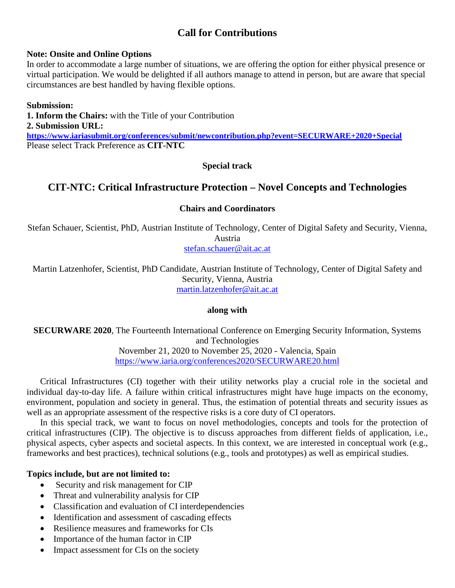# **Call for Contributions**

#### **Note: Onsite and Online Options**

In order to accommodate a large number of situations, we are offering the option for either physical presence or virtual participation. We would be delighted if all authors manage to attend in person, but are aware that special circumstances are best handled by having flexible options.

### **Submission:**

**1. Inform the Chairs:** with the Title of your Contribution **2. Submission URL: <https://www.iariasubmit.org/conferences/submit/newcontribution.php?event=SECURWARE+2020+Special>** Please select Track Preference as **CIT-NTC**

## **Special track**

# **CIT-NTC: Critical Infrastructure Protection – Novel Concepts and Technologies**

### **Chairs and Coordinators**

Stefan Schauer, Scientist, PhD, Austrian Institute of Technology, Center of Digital Safety and Security, Vienna, Austria [stefan.schauer@ait.ac.at](mailto:stefan.schauer@ait.ac.at)

Martin Latzenhofer, Scientist, PhD Candidate, Austrian Institute of Technology, Center of Digital Safety and Security, Vienna, Austria [martin.latzenhofer@ait.ac.at](mailto:martin.latzenhofer@ait.ac.at)

#### **along with**

**SECURWARE 2020**, The Fourteenth International Conference on Emerging Security Information, Systems and Technologies November 21, 2020 to November 25, 2020 - Valencia, Spain <https://www.iaria.org/conferences2020/SECURWARE20.html>

Critical Infrastructures (CI) together with their utility networks play a crucial role in the societal and individual day-to-day life. A failure within critical infrastructures might have huge impacts on the economy, environment, population and society in general. Thus, the estimation of potential threats and security issues as well as an appropriate assessment of the respective risks is a core duty of CI operators.

In this special track, we want to focus on novel methodologies, concepts and tools for the protection of critical infrastructures (CIP). The objective is to discuss approaches from different fields of application, i.e., physical aspects, cyber aspects and societal aspects. In this context, we are interested in conceptual work (e.g., frameworks and best practices), technical solutions (e.g., tools and prototypes) as well as empirical studies.

## **Topics include, but are not limited to:**

- Security and risk management for CIP
- Threat and vulnerability analysis for CIP
- Classification and evaluation of CI interdependencies
- Identification and assessment of cascading effects
- Resilience measures and frameworks for CIs
- Importance of the human factor in CIP
- Impact assessment for CIs on the society